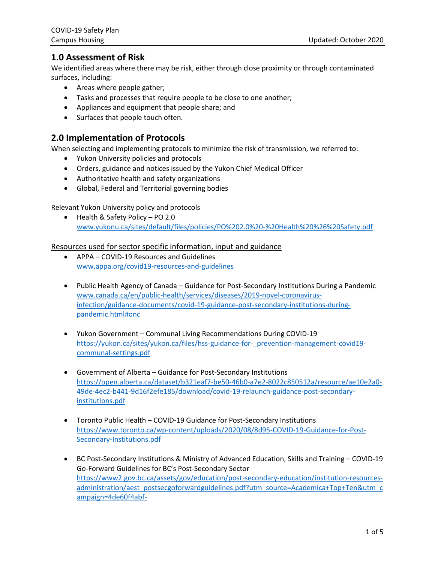## **1.0 Assessment of Risk**

We identified areas where there may be risk, either through close proximity or through contaminated surfaces, including:

- Areas where people gather;
- Tasks and processes that require people to be close to one another;
- Appliances and equipment that people share; and
- Surfaces that people touch often.

## **2.0 Implementation of Protocols**

When selecting and implementing protocols to minimize the risk of transmission, we referred to:

- Yukon University policies and protocols
- Orders, guidance and notices issued by the Yukon Chief Medical Officer
- Authoritative health and safety organizations
- Global, Federal and Territorial governing bodies

### Relevant Yukon University policy and protocols

• Health & Safety Policy – PO 2.0 [www.yukonu.ca/sites/default/files/policies/PO%202.0%20-%20Health%20%26%20Safety.pdf](http://www.yukonu.ca/sites/default/files/policies/PO%202.0%20-%20Health%20%26%20Safety.pdf)

### Resources used for sector specific information, input and guidance

- APPA COVID-19 Resources and Guidelines [www.appa.org/covid19-resources-and-guidelines](http://www.appa.org/covid19-resources-and-guidelines/)
- Public Health Agency of Canada Guidance for Post-Secondary Institutions During a Pandemic [www.canada.ca/en/public-health/services/diseases/2019-novel-coronavirus](http://www.canada.ca/en/public-health/services/diseases/2019-novel-coronavirus-infection/guidance-documents/covid-19-guidance-post-secondary-institutions-during-pandemic.html#onc)[infection/guidance-documents/covid-19-guidance-post-secondary-institutions-during](http://www.canada.ca/en/public-health/services/diseases/2019-novel-coronavirus-infection/guidance-documents/covid-19-guidance-post-secondary-institutions-during-pandemic.html#onc)[pandemic.html#onc](http://www.canada.ca/en/public-health/services/diseases/2019-novel-coronavirus-infection/guidance-documents/covid-19-guidance-post-secondary-institutions-during-pandemic.html#onc)
- Yukon Government Communal Living Recommendations During COVID-19 [https://yukon.ca/sites/yukon.ca/files/hss-guidance-for-\\_prevention-management-covid19](https://yukon.ca/sites/yukon.ca/files/hss-guidance-for-_prevention-management-covid19-communal-settings.pdf) [communal-settings.pdf](https://yukon.ca/sites/yukon.ca/files/hss-guidance-for-_prevention-management-covid19-communal-settings.pdf)
- Government of Alberta Guidance for Post-Secondary Institutions [https://open.alberta.ca/dataset/b321eaf7-be50-46b0-a7e2-8022c850512a/resource/ae10e2a0-](https://open.alberta.ca/dataset/b321eaf7-be50-46b0-a7e2-8022c850512a/resource/ae10e2a0-49de-4ec2-b441-9d16f2efe185/download/covid-19-relaunch-guidance-post-secondary-institutions.pdf) [49de-4ec2-b441-9d16f2efe185/download/covid-19-relaunch-guidance-post-secondary](https://open.alberta.ca/dataset/b321eaf7-be50-46b0-a7e2-8022c850512a/resource/ae10e2a0-49de-4ec2-b441-9d16f2efe185/download/covid-19-relaunch-guidance-post-secondary-institutions.pdf)[institutions.pdf](https://open.alberta.ca/dataset/b321eaf7-be50-46b0-a7e2-8022c850512a/resource/ae10e2a0-49de-4ec2-b441-9d16f2efe185/download/covid-19-relaunch-guidance-post-secondary-institutions.pdf)
- Toronto Public Health COVID-19 Guidance for Post-Secondary Institutions [https://www.toronto.ca/wp-content/uploads/2020/08/8d95-COVID-19-Guidance-for-Post-](https://www.toronto.ca/wp-content/uploads/2020/08/8d95-COVID-19-Guidance-for-Post-Secondary-Institutions.pdf)[Secondary-Institutions.pdf](https://www.toronto.ca/wp-content/uploads/2020/08/8d95-COVID-19-Guidance-for-Post-Secondary-Institutions.pdf)
- BC Post-Secondary Institutions & Ministry of Advanced Education, Skills and Training COVID-19 Go-Forward Guidelines for BC's Post-Secondary Sector [https://www2.gov.bc.ca/assets/gov/education/post-secondary-education/institution-resources](https://www2.gov.bc.ca/assets/gov/education/post-secondary-education/institution-resources-administration/aest_postsecgoforwardguidelines.pdf?utm_source=Academica+Top+Ten&utm_campaign=4de60f4abf-EMAIL_CAMPAIGN_2020_08_04_05_41&utm_medium=email&utm_term=0_b4928536cf-4de60f4abf-51929369)[administration/aest\\_postsecgoforwardguidelines.pdf?utm\\_source=Academica+Top+Ten&utm\\_c](https://www2.gov.bc.ca/assets/gov/education/post-secondary-education/institution-resources-administration/aest_postsecgoforwardguidelines.pdf?utm_source=Academica+Top+Ten&utm_campaign=4de60f4abf-EMAIL_CAMPAIGN_2020_08_04_05_41&utm_medium=email&utm_term=0_b4928536cf-4de60f4abf-51929369) [ampaign=4de60f4abf-](https://www2.gov.bc.ca/assets/gov/education/post-secondary-education/institution-resources-administration/aest_postsecgoforwardguidelines.pdf?utm_source=Academica+Top+Ten&utm_campaign=4de60f4abf-EMAIL_CAMPAIGN_2020_08_04_05_41&utm_medium=email&utm_term=0_b4928536cf-4de60f4abf-51929369)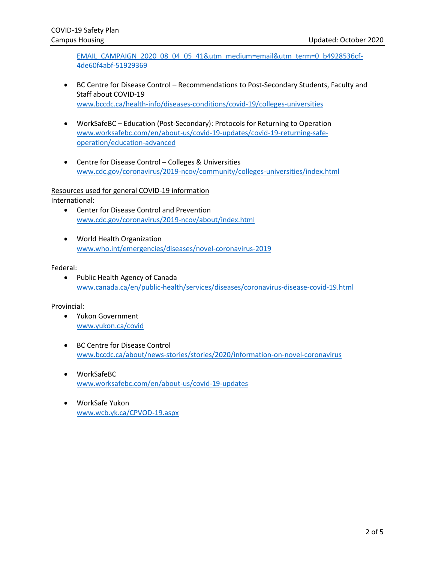[EMAIL\\_CAMPAIGN\\_2020\\_08\\_04\\_05\\_41&utm\\_medium=email&utm\\_term=0\\_b4928536cf-](https://www2.gov.bc.ca/assets/gov/education/post-secondary-education/institution-resources-administration/aest_postsecgoforwardguidelines.pdf?utm_source=Academica+Top+Ten&utm_campaign=4de60f4abf-EMAIL_CAMPAIGN_2020_08_04_05_41&utm_medium=email&utm_term=0_b4928536cf-4de60f4abf-51929369)[4de60f4abf-51929369](https://www2.gov.bc.ca/assets/gov/education/post-secondary-education/institution-resources-administration/aest_postsecgoforwardguidelines.pdf?utm_source=Academica+Top+Ten&utm_campaign=4de60f4abf-EMAIL_CAMPAIGN_2020_08_04_05_41&utm_medium=email&utm_term=0_b4928536cf-4de60f4abf-51929369)

- BC Centre for Disease Control Recommendations to Post-Secondary Students, Faculty and Staff about COVID-19 [www.bccdc.ca/health-info/diseases-conditions/covid-19/colleges-universities](http://www.bccdc.ca/health-info/diseases-conditions/covid-19/colleges-universities)
- WorkSafeBC Education (Post-Secondary): Protocols for Returning to Operation [www.worksafebc.com/en/about-us/covid-19-updates/covid-19-returning-safe](http://www.worksafebc.com/en/about-us/covid-19-updates/covid-19-returning-safe-operation/education-advanced)[operation/education-advanced](http://www.worksafebc.com/en/about-us/covid-19-updates/covid-19-returning-safe-operation/education-advanced)
- Centre for Disease Control Colleges & Universities [www.cdc.gov/coronavirus/2019-ncov/community/colleges-universities/index.html](http://www.cdc.gov/coronavirus/2019-ncov/community/colleges-universities/index.html)

#### Resources used for general COVID-19 information

International:

- Center for Disease Control and Prevention [www.cdc.gov/coronavirus/2019-ncov/about/index.html](http://www.cdc.gov/coronavirus/2019-ncov/about/index.html)
- World Health Organization [www.who.int/emergencies/diseases/novel-coronavirus-2019](http://www.who.int/emergencies/diseases/novel-coronavirus-2019)

#### Federal:

• Public Health Agency of Canada [www.canada.ca/en/public-health/services/diseases/coronavirus-disease-covid-19.html](http://www.canada.ca/en/public-health/services/diseases/coronavirus-disease-covid-19.html)

#### Provincial:

- Yukon Government [www.yukon.ca/covid](http://www.yukon.ca/covid)
- BC Centre for Disease Control [www.bccdc.ca/about/news-stories/stories/2020/information-on-novel-coronavirus](http://www.bccdc.ca/about/news-stories/stories/2020/information-on-novel-coronavirus)
- WorkSafeBC [www.worksafebc.com/en/about-us/covid-19-updates](http://www.worksafebc.com/en/about-us/covid-19-updates)
- WorkSafe Yukon [www.wcb.yk.ca/CPVOD-19.aspx](http://www.wcb.yk.ca/CPVOD-19.aspx)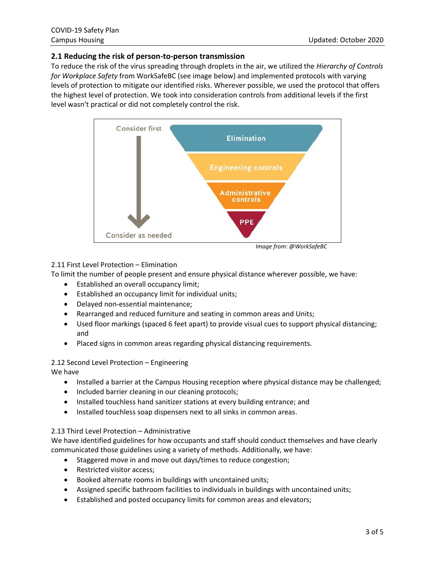### **2.1 Reducing the risk of person-to-person transmission**

To reduce the risk of the virus spreading through droplets in the air, we utilized the *Hierarchy of Controls for Workplace Safety* from WorkSafeBC (see image below) and implemented protocols with varying levels of protection to mitigate our identified risks. Wherever possible, we used the protocol that offers the highest level of protection. We took into consideration controls from additional levels if the first level wasn't practical or did not completely control the risk.



*Image from: @WorkSafeBC*

#### 2.11 First Level Protection – Elimination

To limit the number of people present and ensure physical distance wherever possible, we have:

- Established an overall occupancy limit;
- Established an occupancy limit for individual units;
- Delayed non-essential maintenance;
- Rearranged and reduced furniture and seating in common areas and Units;
- Used floor markings (spaced 6 feet apart) to provide visual cues to support physical distancing; and
- Placed signs in common areas regarding physical distancing requirements.

#### 2.12 Second Level Protection – Engineering

We have

- Installed a barrier at the Campus Housing reception where physical distance may be challenged;
- Included barrier cleaning in our cleaning protocols;
- Installed touchless hand sanitizer stations at every building entrance; and
- Installed touchless soap dispensers next to all sinks in common areas.

#### 2.13 Third Level Protection – Administrative

We have identified guidelines for how occupants and staff should conduct themselves and have clearly communicated those guidelines using a variety of methods. Additionally, we have:

- Staggered move in and move out days/times to reduce congestion;
- Restricted visitor access;
- Booked alternate rooms in buildings with uncontained units;
- Assigned specific bathroom facilities to individuals in buildings with uncontained units;
- Established and posted occupancy limits for common areas and elevators;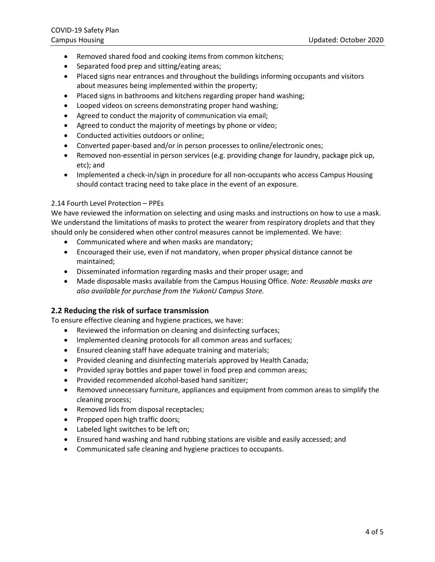- Removed shared food and cooking items from common kitchens;
- Separated food prep and sitting/eating areas;
- Placed signs near entrances and throughout the buildings informing occupants and visitors about measures being implemented within the property;
- Placed signs in bathrooms and kitchens regarding proper hand washing;
- Looped videos on screens demonstrating proper hand washing;
- Agreed to conduct the majority of communication via email;
- Agreed to conduct the majority of meetings by phone or video;
- Conducted activities outdoors or online;
- Converted paper-based and/or in person processes to online/electronic ones;
- Removed non-essential in person services (e.g. providing change for laundry, package pick up, etc); and
- Implemented a check-in/sign in procedure for all non-occupants who access Campus Housing should contact tracing need to take place in the event of an exposure.

#### 2.14 Fourth Level Protection – PPEs

We have reviewed the information on selecting and using masks and instructions on how to use a mask. We understand the limitations of masks to protect the wearer from respiratory droplets and that they should only be considered when other control measures cannot be implemented. We have:

- Communicated where and when masks are mandatory;
- Encouraged their use, even if not mandatory, when proper physical distance cannot be maintained;
- Disseminated information regarding masks and their proper usage; and
- Made disposable masks available from the Campus Housing Office. *Note: Reusable masks are also available for purchase from the YukonU Campus Store.*

#### **2.2 Reducing the risk of surface transmission**

To ensure effective cleaning and hygiene practices, we have:

- Reviewed the information on cleaning and disinfecting surfaces;
- Implemented cleaning protocols for all common areas and surfaces;
- Ensured cleaning staff have adequate training and materials;
- Provided cleaning and disinfecting materials approved by Health Canada;
- Provided spray bottles and paper towel in food prep and common areas;
- Provided recommended alcohol-based hand sanitizer;
- Removed unnecessary furniture, appliances and equipment from common areas to simplify the cleaning process;
- Removed lids from disposal receptacles;
- Propped open high traffic doors;
- Labeled light switches to be left on;
- Ensured hand washing and hand rubbing stations are visible and easily accessed; and
- Communicated safe cleaning and hygiene practices to occupants.